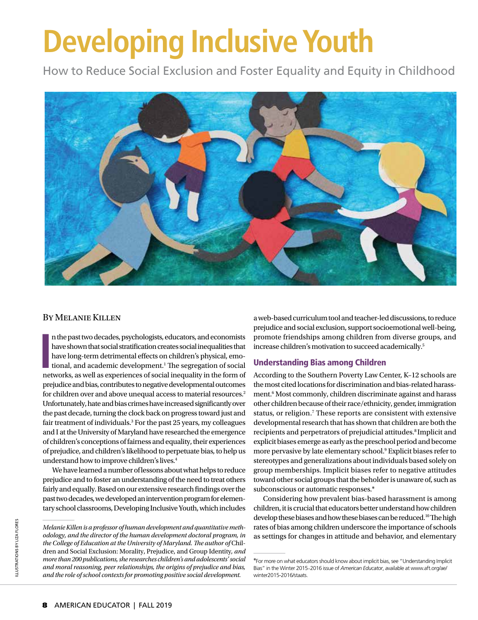# **Developing Inclusive Youth**

How to Reduce Social Exclusion and Foster Equality and Equity in Childhood



#### By Melanie Killen

In the past two decades, psychologists, educators, and economists have shown that social stratification creates social inequalities that have long-term detrimental effects on children's physical, emotional, and academic de n the past two decades, psychologists, educators, and economists have shown that social stratification creates social inequalities that have long-term detrimental effects on children's physical, emotional, and academic development.<sup>1</sup> The segregation of social prejudice and bias, contributes to negative developmental outcomes for children over and above unequal access to material resources.<sup>2</sup> Unfortunately, hate and bias crimes have increased significantly over the past decade, turning the clock back on progress toward just and fair treatment of individuals.<sup>3</sup> For the past 25 years, my colleagues and I at the University of Maryland have researched the emergence of children's conceptions of fairness and equality, their experiences of prejudice, and children's likelihood to perpetuate bias, to help us understand how to improve children's lives.4

We have learned a number of lessons about what helps to reduce prejudice and to foster an understanding of the need to treat others fairly and equally. Based on our extensive research findings over the past two decades, we developed an intervention program for elementary school classrooms, Developing Inclusive Youth, which includes a web-based curriculum tool and teacher-led discussions, to reduce prejudice and social exclusion, support socioemotional well-being, promote friendships among children from diverse groups, and increase children's motivation to succeed academically.5

#### Understanding Bias among Children

According to the Southern Poverty Law Center, K–12 schools are the most cited locations for discrimination and bias-related harassment.<sup>6</sup> Most commonly, children discriminate against and harass other children because of their race/ethnicity, gender, immigration status, or religion.<sup>7</sup> These reports are consistent with extensive developmental research that has shown that children are both the recipients and perpetrators of prejudicial attitudes.<sup>8</sup> Implicit and explicit biases emerge as early as the preschool period and become more pervasive by late elementary school.<sup>9</sup> Explicit biases refer to stereotypes and generalizations about individuals based solely on group memberships. Implicit biases refer to negative attitudes toward other social groups that the beholder is unaware of, such as subconscious or automatic responses.\*

Considering how prevalent bias-based harassment is among children, it is crucial that educators better understand how children develop these biases and how these biases can be reduced.10 The high rates of bias among children underscore the importance of schools as settings for changes in attitude and behavior, and elementary

*Melanie Killen is a professor of human development and quantitative methodology, and the director of the human development doctoral program, in*  the College of Education at the University of Maryland. The author of Children and Social Exclusion: Morality, Prejudice, and Group Identity*, and more than 200 publications, she researches children's and adolescents' social and moral reasoning, peer relationships, the origins of prejudice and bias, and the role of school contexts for promoting positive social development.*

<sup>\*</sup>For more on what educators should know about implicit bias, see "Understanding Implicit Bias" in the Winter 2015–2016 issue of *American Educator*, available at www.aft.org/ae/ winter2015-2016/staats.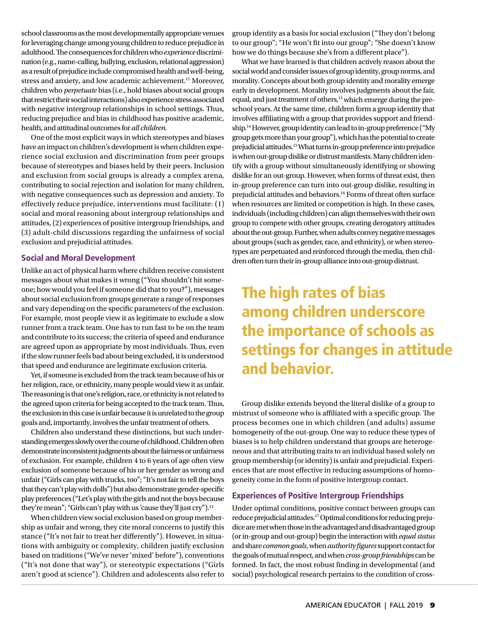school classrooms as the most developmentally appropriate venues for leveraging change among young children to reduce prejudice in adulthood. The consequences for children who *experience* discrimination (e.g., name-calling, bullying, exclusion, relational aggression) as a result of prejudice include compromised health and well-being, stress and anxiety, and low academic achievement.<sup>11</sup> Moreover, children who *perpetuate* bias (i.e., hold biases about social groups that restrict their social interactions) also experience stress associated with negative intergroup relationships in school settings. Thus, reducing prejudice and bias in childhood has positive academic, health, and attitudinal outcomes for *all children.*

One of the most explicit ways in which stereotypes and biases have an impact on children's development is when children experience social exclusion and discrimination from peer groups because of stereotypes and biases held by their peers. Inclusion and exclusion from social groups is already a complex arena, contributing to social rejection and isolation for many children, with negative consequences such as depression and anxiety. To effectively reduce prejudice, interventions must facilitate: (1) social and moral reasoning about intergroup relationships and attitudes, (2) experiences of positive intergroup friendships, and (3) adult-child discussions regarding the unfairness of social exclusion and prejudicial attitudes.

#### Social and Moral Development

Unlike an act of physical harm where children receive consistent messages about what makes it wrong ("You shouldn't hit someone; how would you feel if someone did that to you?"), messages about social exclusion from groups generate a range of responses and vary depending on the specific parameters of the exclusion. For example, most people view it as legitimate to exclude a slow runner from a track team. One has to run fast to be on the team and contribute to its success; the criteria of speed and endurance are agreed upon as appropriate by most individuals. Thus, even if the slow runner feels bad about being excluded, it is understood that speed and endurance are legitimate exclusion criteria.

Yet, if someone is excluded from the track team because of his or her religion, race, or ethnicity, many people would view it as unfair. The reasoning is that one's religion, race, or ethnicity is not related to the agreed upon criteria for being accepted to the track team. Thus, the exclusion in this case is unfair because it is unrelated to the group goals and, importantly, involves the unfair treatment of others.

Children also understand these distinctions, but such understanding emerges slowly over the course of childhood. Children often demonstrate inconsistent judgments about the fairness or unfairness of exclusion. For example, children 4 to 6 years of age often view exclusion of someone because of his or her gender as wrong and unfair ("Girls can play with trucks, too"; "It's not fair to tell the boys that they can't play with dolls") but also demonstrate gender-specific play preferences ("Let's play with the girls and not the boys because they're mean"; "Girls can't play with us 'cause they'll just cry").<sup>12</sup>

When children view social exclusion based on group membership as unfair and wrong, they cite moral concerns to justify this stance ("It's not fair to treat her differently"). However, in situations with ambiguity or complexity, children justify exclusion based on traditions ("We've never 'mixed' before"), conventions ("It's not done that way"), or stereotypic expectations ("Girls aren't good at science"). Children and adolescents also refer to group identity as a basis for social exclusion ("They don't belong to our group"; "He won't fit into our group"; "She doesn't know how we do things because she's from a different place").

What we have learned is that children actively reason about the social world and consider issues of group identity, group norms, and morality. Concepts about both group identity and morality emerge early in development. Morality involves judgments about the fair, equal, and just treatment of others,<sup>13</sup> which emerge during the preschool years. At the same time, children form a group identity that involves affiliating with a group that provides support and friendship.14 However, group identity can lead to in-group preference ("My group gets more than your group"), which has the potential to create prejudicial attitudes.15 What turns in-group preference into prejudice is when out-group dislike or distrust manifests. Many children identify with a group without simultaneously identifying or showing dislike for an out-group. However, when forms of threat exist, then in-group preference can turn into out-group dislike, resulting in prejudicial attitudes and behaviors.16 Forms of threat often surface when resources are limited or competition is high. In these cases, individuals (including children) can align themselves with their own group to compete with other groups, creating derogatory attitudes about the out-group. Further, when adults convey negative messages about groups (such as gender, race, and ethnicity), or when stereotypes are perpetuated and reinforced through the media, then children often turn their in-group alliance into out-group distrust.

## The high rates of bias among children underscore the importance of schools as settings for changes in attitude and behavior.

Group dislike extends beyond the literal dislike of a group to mistrust of someone who is affiliated with a specific group. The process becomes one in which children (and adults) assume homogeneity of the out-group. One way to reduce these types of biases is to help children understand that groups are heterogeneous and that attributing traits to an individual based solely on group membership (or identity) is unfair and prejudicial. Experiences that are most effective in reducing assumptions of homogeneity come in the form of positive intergroup contact.

#### Experiences of Positive Intergroup Friendships

Under optimal conditions, positive contact between groups can reduce prejudicial attitudes.17 Optimal conditions for reducing prejudice are met when those in the advantaged and disadvantaged group (or in-group and out-group) begin the interaction with *equal status* and share *common goals*, when *authority figures* support contact for the goals of mutual respect, and when *cross-group friendships* can be formed. In fact, the most robust finding in developmental (and social) psychological research pertains to the condition of cross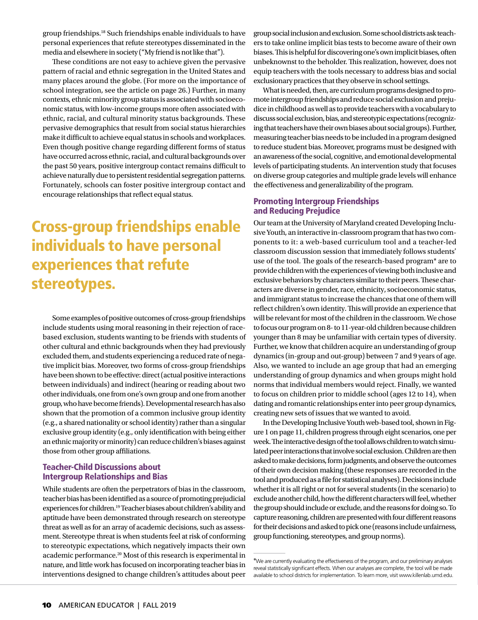group friendships.18 Such friendships enable individuals to have personal experiences that refute stereotypes disseminated in the media and elsewhere in society ("My friend is not like that").

These conditions are not easy to achieve given the pervasive pattern of racial and ethnic segregation in the United States and many places around the globe. (For more on the importance of school integration, see the article on page 26.) Further, in many contexts, ethnic minority group status is associated with socioeconomic status, with low-income groups more often associated with ethnic, racial, and cultural minority status backgrounds. These pervasive demographics that result from social status hierarchies make it difficult to achieve equal status in schools and workplaces. Even though positive change regarding different forms of status have occurred across ethnic, racial, and cultural backgrounds over the past 50 years, positive intergroup contact remains difficult to achieve naturally due to persistent residential segregation patterns. Fortunately, schools can foster positive intergroup contact and encourage relationships that reflect equal status.

## Cross-group friendships enable individuals to have personal experiences that refute stereotypes.

Some examples of positive outcomes of cross-group friendships include students using moral reasoning in their rejection of racebased exclusion, students wanting to be friends with students of other cultural and ethnic backgrounds when they had previously excluded them, and students experiencing a reduced rate of negative implicit bias. Moreover, two forms of cross-group friendships have been shown to be effective: direct (actual positive interactions between individuals) and indirect (hearing or reading about two other individuals, one from one's own group and one from another group, who have become friends). Developmental research has also shown that the promotion of a common inclusive group identity (e.g., a shared nationality or school identity) rather than a singular exclusive group identity (e.g., only identification with being either an ethnic majority or minority) can reduce children's biases against those from other group affiliations.

#### Teacher-Child Discussions about Intergroup Relationships and Bias

While students are often the perpetrators of bias in the classroom, teacher bias has been identified as a source of promoting prejudicial experiences for children.19 Teacher biases about children's ability and aptitude have been demonstrated through research on stereotype threat as well as for an array of academic decisions, such as assessment. Stereotype threat is when students feel at risk of conforming to stereotypic expectations, which negatively impacts their own academic performance.20 Most of this research is experimental in nature, and little work has focused on incorporating teacher bias in interventions designed to change children's attitudes about peer

group social inclusion and exclusion. Some school districts ask teachers to take online implicit bias tests to become aware of their own biases. This is helpful for discovering one's own implicit biases, often unbeknownst to the beholder. This realization, however, does not equip teachers with the tools necessary to address bias and social exclusionary practices that they observe in school settings.

What is needed, then, are curriculum programs designed to promote intergroup friendships and reduce social exclusion and prejudice in childhood as well as to provide teachers with a vocabulary to discuss social exclusion, bias, and stereotypic expectations (recognizing that teachers have their own biases about social groups). Further, measuring teacher bias needs to be included in a program designed to reduce student bias. Moreover, programs must be designed with an awareness of the social, cognitive, and emotional developmental levels of participating students. An intervention study that focuses on diverse group categories and multiple grade levels will enhance the effectiveness and generalizability of the program.

#### Promoting Intergroup Friendships and Reducing Prejudice

Our team at the University of Maryland created Developing Inclusive Youth, an interactive in-classroom program that has two components to it: a web-based curriculum tool and a teacher-led classroom discussion session that immediately follows students' use of the tool. The goals of the research-based program\* are to provide children with the experiences of viewing both inclusive and exclusive behaviors by characters similar to their peers. These characters are diverse in gender, race, ethnicity, socioeconomic status, and immigrant status to increase the chances that one of them will reflect children's own identity. This will provide an experience that will be relevant for most of the children in the classroom. We chose to focus our program on 8- to 11-year-old children because children younger than 8 may be unfamiliar with certain types of diversity. Further, we know that children acquire an understanding of group dynamics (in-group and out-group) between 7 and 9 years of age. Also, we wanted to include an age group that had an emerging understanding of group dynamics and when groups might hold norms that individual members would reject. Finally, we wanted to focus on children prior to middle school (ages 12 to 14), when dating and romantic relationships enter into peer group dynamics, creating new sets of issues that we wanted to avoid.

In the Developing Inclusive Youth web-based tool, shown in Figure 1 on page 11, children progress through eight scenarios, one per week. The interactive design of the tool allows children to watch simulated peer interactions that involve social exclusion. Children are then asked to make decisions, form judgments, and observe the outcomes of their own decision making (these responses are recorded in the tool and produced as a file for statistical analyses). Decisions include whether it is all right or not for several students (in the scenario) to exclude another child, how the different characters will feel, whether the group should include or exclude, and the reasons for doing so. To capture reasoning, children are presented with four different reasons for their decisions and asked to pick one (reasons include unfairness, group functioning, stereotypes, and group norms).

<sup>\*</sup>We are currently evaluating the effectiveness of the program, and our preliminary analyses reveal statistically significant effects. When our analyses are complete, the tool will be made available to school districts for implementation. To learn more, visit www.killenlab.umd.edu.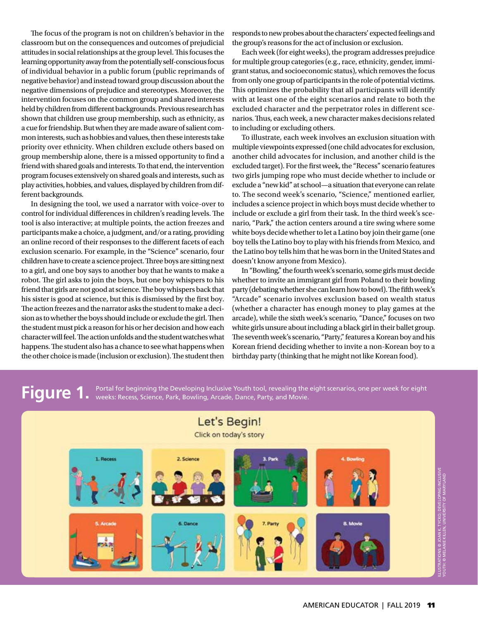The focus of the program is not on children's behavior in the classroom but on the consequences and outcomes of prejudicial attitudes in social relationships at the group level. This focuses the learning opportunity away from the potentially self-conscious focus of individual behavior in a public forum (public reprimands of negative behavior) and instead toward group discussion about the negative dimensions of prejudice and stereotypes. Moreover, the intervention focuses on the common group and shared interests held by children from different backgrounds. Previous research has shown that children use group membership, such as ethnicity, as a cue for friendship. But when they are made aware of salient common interests, such as hobbies and values, then these interests take priority over ethnicity. When children exclude others based on group membership alone, there is a missed opportunity to find a friend with shared goals and interests. To that end, the intervention program focuses extensively on shared goals and interests, such as play activities, hobbies, and values, displayed by children from different backgrounds.

In designing the tool, we used a narrator with voice-over to control for individual differences in children's reading levels. The tool is also interactive; at multiple points, the action freezes and participants make a choice, a judgment, and/or a rating, providing an online record of their responses to the different facets of each exclusion scenario. For example, in the "Science" scenario, four children have to create a science project. Three boys are sitting next to a girl, and one boy says to another boy that he wants to make a robot. The girl asks to join the boys, but one boy whispers to his friend that girls are not good at science. The boy whispers back that his sister is good at science, but this is dismissed by the first boy. The action freezes and the narrator asks the student to make a decision as to whether the boys should include or exclude the girl. Then the student must pick a reason for his or her decision and how each character will feel. The action unfolds and the student watches what happens. The student also has a chance to see what happens when the other choice is made (inclusion or exclusion). The student then

responds to new probes about the characters' expected feelings and the group's reasons for the act of inclusion or exclusion.

Each week (for eight weeks), the program addresses prejudice for multiple group categories (e.g., race, ethnicity, gender, immigrant status, and socioeconomic status), which removes the focus from only one group of participants in the role of potential victims. This optimizes the probability that all participants will identify with at least one of the eight scenarios and relate to both the excluded character and the perpetrator roles in different scenarios. Thus, each week, a new character makes decisions related to including or excluding others.

To illustrate, each week involves an exclusion situation with multiple viewpoints expressed (one child advocates for exclusion, another child advocates for inclusion, and another child is the excluded target). For the first week, the "Recess" scenario features two girls jumping rope who must decide whether to include or exclude a "new kid" at school—a situation that everyone can relate to. The second week's scenario, "Science," mentioned earlier, includes a science project in which boys must decide whether to include or exclude a girl from their task. In the third week's scenario, "Park," the action centers around a tire swing where some white boys decide whether to let a Latino boy join their game (one boy tells the Latino boy to play with his friends from Mexico, and the Latino boy tells him that he was born in the United States and doesn't know anyone from Mexico).

In "Bowling," the fourth week's scenario, some girls must decide whether to invite an immigrant girl from Poland to their bowling party (debating whether she can learn how to bowl). The fifth week's "Arcade" scenario involves exclusion based on wealth status (whether a character has enough money to play games at the arcade), while the sixth week's scenario, "Dance," focuses on two white girls unsure about including a black girl in their ballet group. The seventh week's scenario, "Party," features a Korean boy and his Korean friend deciding whether to invite a non-Korean boy to a birthday party (thinking that he might not like Korean food).

**Figure 1.** Portal for beginning the Developing Inclusive Youth tool, revealing the eight scenarios, one per week for eight **Figure 1.** weeks: Recess, Science, Park, Bowling, Arcade, Dance, Party, and Movie.

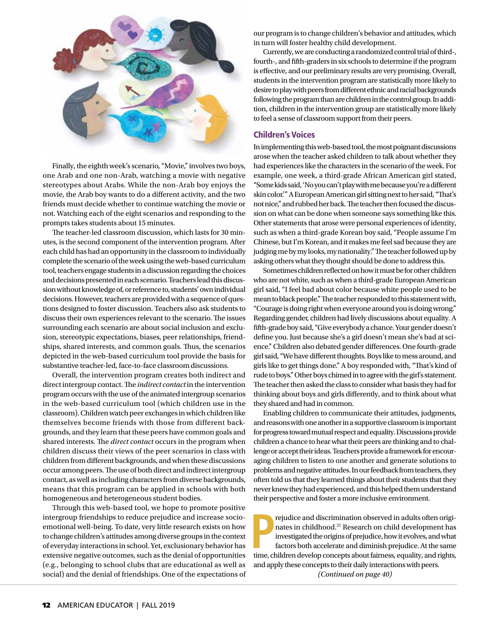

Finally, the eighth week's scenario, "Movie," involves two boys, one Arab and one non-Arab, watching a movie with negative stereotypes about Arabs. While the non-Arab boy enjoys the movie, the Arab boy wants to do a different activity, and the two friends must decide whether to continue watching the movie or not. Watching each of the eight scenarios and responding to the prompts takes students about 15 minutes.

The teacher-led classroom discussion, which lasts for 30 minutes, is the second component of the intervention program. After each child has had an opportunity in the classroom to individually complete the scenario of the week using the web-based curriculum tool, teachers engage students in a discussion regarding the choices and decisions presented in each scenario. Teachers lead this discussion without knowledge of, or reference to, students' own individual decisions. However, teachers are provided with a sequence of questions designed to foster discussion. Teachers also ask students to discuss their own experiences relevant to the scenario. The issues surrounding each scenario are about social inclusion and exclusion, stereotypic expectations, biases, peer relationships, friendships, shared interests, and common goals. Thus, the scenarios depicted in the web-based curriculum tool provide the basis for substantive teacher-led, face-to-face classroom discussions.

Overall, the intervention program creates both indirect and direct intergroup contact. The *indirect contact* in the intervention program occurs with the use of the animated intergroup scenarios in the web-based curriculum tool (which children use in the classroom). Children watch peer exchanges in which children like themselves become friends with those from different backgrounds, and they learn that these peers have common goals and shared interests. The *direct contact* occurs in the program when children discuss their views of the peer scenarios in class with children from different backgrounds, and when these discussions occur among peers. The use of both direct and indirect intergroup contact, as well as including characters from diverse backgrounds, means that this program can be applied in schools with both homogeneous and heterogeneous student bodies.

Through this web-based tool, we hope to promote positive intergroup friendships to reduce prejudice and increase socioemotional well-being. To date, very little research exists on how to change children's attitudes among diverse groups in the context of everyday interactions in school. Yet, exclusionary behavior has extensive negative outcomes, such as the denial of opportunities (e.g., belonging to school clubs that are educational as well as social) and the denial of friendships. One of the expectations of

our program is to change children's behavior and attitudes, which in turn will foster healthy child development.

Currently, we are conducting a randomized control trial of third-, fourth-, and fifth-graders in six schools to determine if the program is effective, and our preliminary results are very promising. Overall, students in the intervention program are statistically more likely to desire to play with peers from different ethnic and racial backgrounds following the program than are children in the control group. In addition, children in the intervention group are statistically more likely to feel a sense of classroom support from their peers.

#### Children's Voices

In implementing this web-based tool, the most poignant discussions arose when the teacher asked children to talk about whether they had experiences like the characters in the scenario of the week. For example, one week, a third-grade African American girl stated, "Some kids said, 'No you can't play with me because you're a different skin color.'" A European American girl sitting next to her said, "That's not nice," and rubbed her back. The teacher then focused the discussion on what can be done when someone says something like this. Other statements that arose were personal experiences of identity, such as when a third-grade Korean boy said, "People assume I'm Chinese, but I'm Korean, and it makes me feel sad because they are judging me by my looks, my nationality." The teacher followed up by asking others what they thought should be done to address this.

Sometimes children reflected on how it must be for other children who are not white, such as when a third-grade European American girl said, "I feel bad about color because white people used to be mean to black people." The teacher responded to this statement with, "Courage is doing right when everyone around you is doing wrong." Regarding gender, children had lively discussions about equality. A fifth-grade boy said, "Give everybody a chance. Your gender doesn't define you. Just because she's a girl doesn't mean she's bad at science." Children also debated gender differences. One fourth-grade girl said, "We have different thoughts. Boys like to mess around, and girls like to get things done." A boy responded with, "That's kind of rude to boys." Other boys chimed in to agree with the girl's statement. The teacher then asked the class to consider what basis they had for thinking about boys and girls differently, and to think about what they shared and had in common.

Enabling children to communicate their attitudes, judgments, and reasons with one another in a supportive classroom is important for progress toward mutual respect and equality. Discussions provide children a chance to hear what their peers are thinking and to challenge or accept their ideas. Teachers provide a framework for encouraging children to listen to one another and generate solutions to problems and negative attitudes. In our feedback from teachers, they often told us that they learned things about their students that they never knew they had experienced, and this helped them understand their perspective and foster a more inclusive environment.

rejudice and discrimination observed in adults often originates in childhood.<sup>21</sup> Research on child development has investigated the origins of prejudice, how it evolves, and what factors both accelerate and diminish preju rejudice and discrimination observed in adults often originates in childhood.21 Research on child development has investigated the origins of prejudice, how it evolves, and what factors both accelerate and diminish prejudice. At the same and apply these concepts to their daily interactions with peers. *(Continued on page 40)*